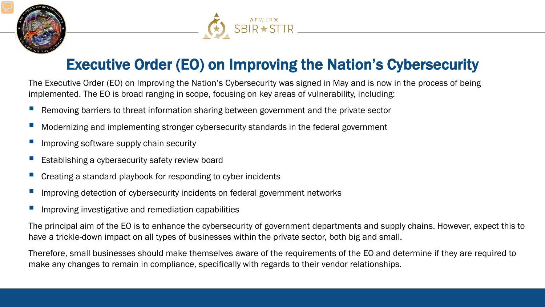



## Executive Order (EO) on Improving the Nation's Cybersecurity

The Executive Order (EO) on Improving the Nation's Cybersecurity was signed in May and is now in the process of being implemented. The EO is broad ranging in scope, focusing on key areas of vulnerability, including:

- Removing barriers to threat information sharing between government and the private sector
- Modernizing and implementing stronger cybersecurity standards in the federal government
- Improving software supply chain security
- Establishing a cybersecurity safety review board
- Creating a standard playbook for responding to cyber incidents
- Improving detection of cybersecurity incidents on federal government networks
- Improving investigative and remediation capabilities

The principal aim of the EO is to enhance the cybersecurity of government departments and supply chains. However, expect this to have a trickle-down impact on all types of businesses within the private sector, both big and small.

Therefore, small businesses should make themselves aware of the requirements of the EO and determine if they are required to make any changes to remain in compliance, specifically with regards to their vendor relationships.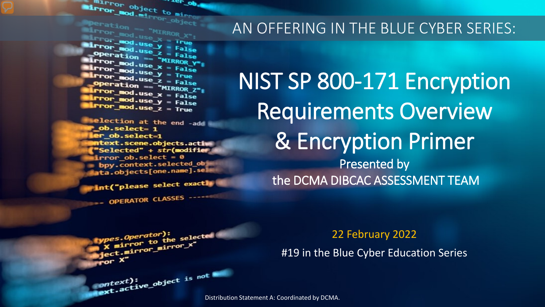The object to minner. Mirror object to mirror ...er op

Wirror\_mod.use\_x<br>Wirror\_mod.use\_x = True<br>Mirror\_<sup>mod.use v</sup> = True  $\begin{array}{rcl} \text{LTKKOR} \end{array} \begin{array}{rcl} \text{LTKKOR} \end{array} \begin{array}{rcl} \text{LTKKOR} \end{array} \begin{array}{rcl} \text{LITROP} & \text{LITROP} \end{array} \begin{array}{rcl} \text{LITROP} & \text{LIGR} \end{array} \begin{array}{rcl} \text{LITROP} & \text{LIGR} \end{array} \begin{array}{rcl} \text{LITROP} & \text{LIGR} \end{array} \begin{array}{rcl} \text{LIGR} \end{array} \begin{array}{rcl} \text{LIGR} \end{array}$  $\begin{array}{rcl} \text{irror \_mod, use} & = & \text{irre} \\ \text{irror \_mod, use} & = & \text{False} \\ \text{operation} & = & \text{Mirepos} \\ \text{irror \_} & = & \text{Mirepos} \end{array}$ **Operation** == "MIRROR\_Y"<br>**IPPOP\_mod.use x** = False **Exaction** == "MIRROR\_Y"<br>**Exaction** = "MIRROR\_Y"<br>**Exaction** = False  $\frac{mod \cdot use_x}{irror\_mod \cdot use_y} = \frac{False}{True}$  $\frac{1}{2}$  From  $\frac{\text{mod use } y}{1 - \text{mod use } z}$  = Frue **Operation == "MIRROR\_Z":**<br><u>IFror mod.use : "MIRROR\_Z</u>"; **Trior\_mod.use\_x = False**<br>**Trior\_mod.use\_x = False**  $k$  Profilmond.use  $x = False$ <br> $k$  Profilmond.use  $y = False$  $Irror_modeluse_y = False$ 

**election at the end -add** \_ob.select= 1 er\_ob.select=1 ntext.scene.objects.activ "Selected" + str(modifier  $irror_ ob. select =  $0$$ bpy.context.selected\_ob ata.objects[one.name].sel

int("please select exactly

OPERATOR CLASSES -----

### AN OFFERING IN THE BLUE CYBER SERIES:

# NIST SP 800-171 Encryption Requirements Overview & Encryption Primer Presented by the DCMA DIBCAC ASSESSMENT TEAM

22 February 2022

#19 in the Blue Cyber Education Series

pes.Operator):<br>http://www.to *es.Operator*):<br>( mirror to the selected<br>( mirror mirror\_x" x mirror to the stray<br>edge: mirror\_mirror\_x"

Distribution Statement A: Coordinated by DCMA.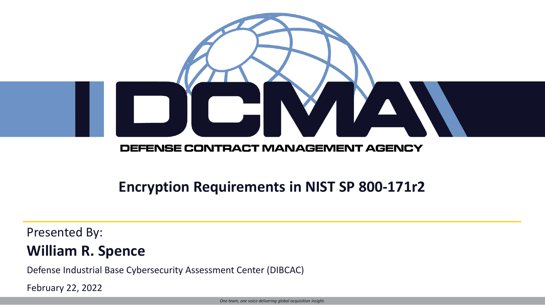

#### DEFENSE CONTRACT MANAGEMENT AGENCY

### **Encryption Requirements in NIST SP 800-171r2**

### Presented By: **William R. Spence**

Defense Industrial Base Cybersecurity Assessment Center (DIBCAC)

February 22, 2022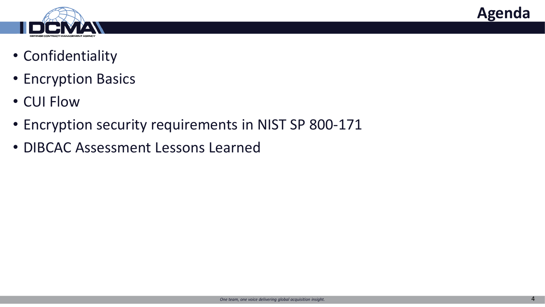



- Confidentiality
- Encryption Basics
- CUI Flow
- Encryption security requirements in NIST SP 800-171
- DIBCAC Assessment Lessons Learned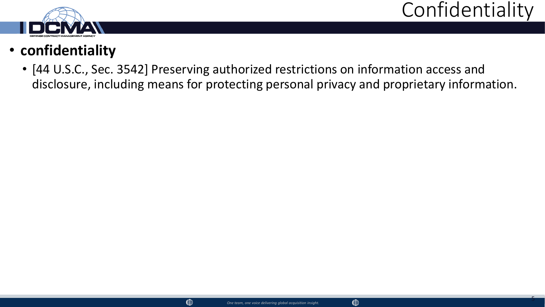5



## • **confidentiality**

• [44 U.S.C., Sec. 3542] Preserving authorized restrictions on information access and disclosure, including means for protecting personal privacy and proprietary information.

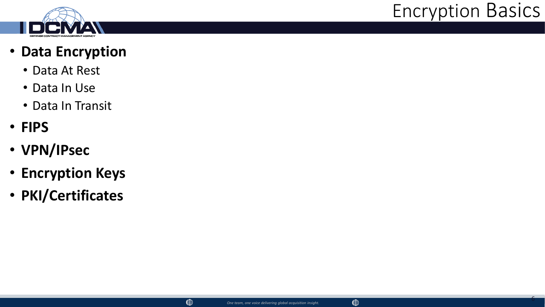

## Encryption Basics

6

### • **Data Encryption**

- Data At Rest
- Data In Use
- Data In Transit
- **FIPS**
- **VPN/IPsec**
- **Encryption Keys**
- **PKI/Certificates**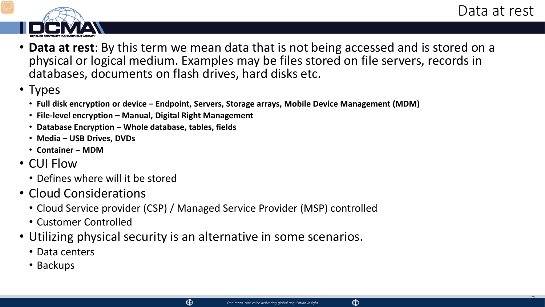7



- **Data at rest**: By this term we mean data that is not being accessed and is stored on a physical or logical medium. Examples may be files stored on file servers, records in databases, documents on flash drives, hard disks etc.
- Types
	- **Full disk encryption or device – Endpoint, Servers, Storage arrays, Mobile Device Management (MDM)**
	- **File-level encryption – Manual, Digital Right Management**
	- **Database Encryption – Whole database, tables, fields**
	- **Media – USB Drives, DVDs**
	- **Container – MDM**
- CUI Flow
	- Defines where will it be stored
- Cloud Considerations
	- Cloud Service provider (CSP) / Managed Service Provider (MSP) controlled
	- Customer Controlled
- Utilizing physical security is an alternative in some scenarios.

- Data centers
- Backups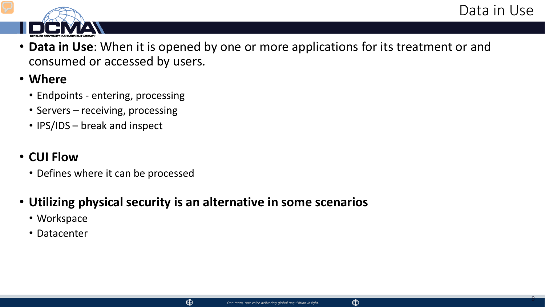8



- **Data in Use**: When it is opened by one or more applications for its treatment or and consumed or accessed by users.
- **Where**
	- Endpoints entering, processing
	- Servers receiving, processing
	- IPS/IDS break and inspect

### • **CUI Flow**

• Defines where it can be processed

### • **Utilizing physical security is an alternative in some scenarios**

- Workspace
- Datacenter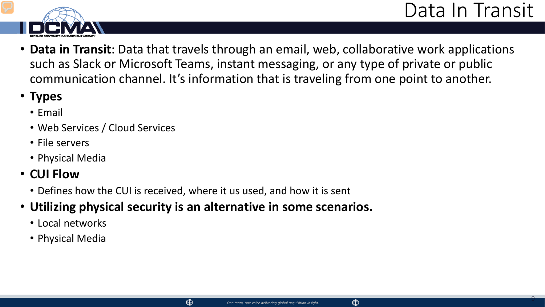

- **Data in Transit**: Data that travels through an email, web, collaborative work applications such as Slack or Microsoft Teams, instant messaging, or any type of private or public communication channel. It's information that is traveling from one point to another.
- **Types**
	- Email
	- Web Services / Cloud Services
	- File servers
	- Physical Media
- **CUI Flow**
	- Defines how the CUI is received, where it us used, and how it is sent
- **Utilizing physical security is an alternative in some scenarios.**
	- Local networks
	- Physical Media

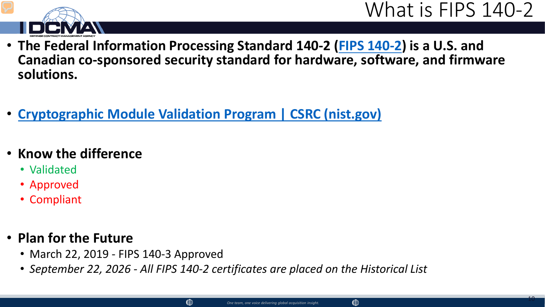



- **The Federal Information Processing Standard 140-2 ([FIPS 140-2\)](https://www.corsec.com/fips-140-2/) is a U.S. and Canadian co-sponsored security standard for hardware, software, and firmware solutions.**
- **[Cryptographic Module Validation Program | CSRC \(nist.gov\)](https://csrc.nist.gov/Projects/cryptographic-module-validation-program/validated-modules/Search)**
- **Know the difference**
	- Validated
	- Approved
	- Compliant

### • **Plan for the Future**

- March 22, 2019 FIPS 140-3 Approved
- *September 22, 2026 - All FIPS 140-2 certificates are placed on the Historical List*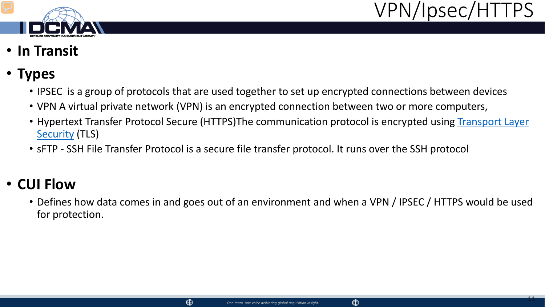



- **In Transit**
- **Types**
	- IPSEC is a group of protocols that are used together to set up encrypted connections between devices
	- VPN A virtual private network (VPN) is an encrypted connection between two or more computers,
	- [Hypertext Transfer Protocol Secure \(HTTPS\)The](https://en.wikipedia.org/wiki/Transport_Layer_Security) communication protocol is encrypted using Transport Layer Security (TLS)
	- sFTP SSH File Transfer Protocol is a secure file transfer protocol. It runs over the SSH protocol

## • **CUI Flow**

• Defines how data comes in and goes out of an environment and when a VPN / IPSEC / HTTPS would be used for protection.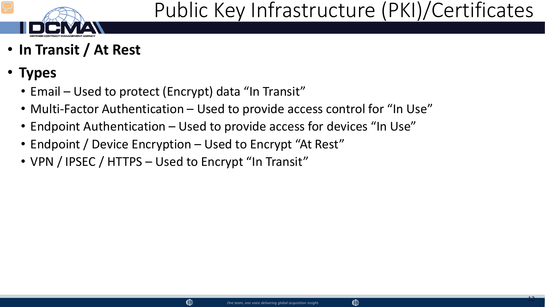

- **In Transit / At Rest**
- **Types**
	- Email Used to protect (Encrypt) data "In Transit"
	- Multi-Factor Authentication Used to provide access control for "In Use"
	- Endpoint Authentication Used to provide access for devices "In Use"
	- Endpoint / Device Encryption Used to Encrypt "At Rest"
	- VPN / IPSEC / HTTPS Used to Encrypt "In Transit"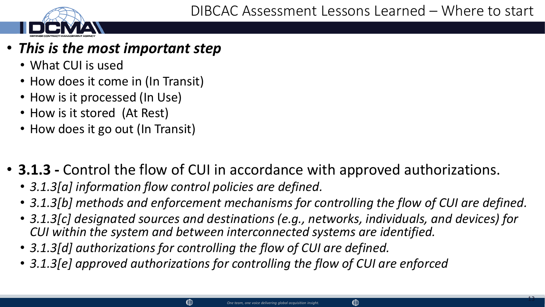### • *This is the most important step*

- What CUI is used
- How does it come in (In Transit)
- How is it processed (In Use)
- How is it stored (At Rest)
- How does it go out (In Transit)
- **3.1.3 -** Control the flow of CUI in accordance with approved authorizations.
	- *3.1.3[a] information flow control policies are defined.*
	- *3.1.3[b] methods and enforcement mechanisms for controlling the flow of CUI are defined.*
	- *3.1.3[c] designated sources and destinations (e.g., networks, individuals, and devices) for CUI within the system and between interconnected systems are identified.*
	- *3.1.3[d] authorizations for controlling the flow of CUI are defined.*
	- *3.1.3[e] approved authorizations for controlling the flow of CUI are enforced*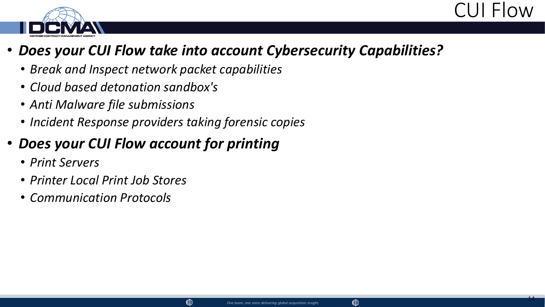



### • *Does your CUI Flow take into account Cybersecurity Capabilities?*

- *Break and Inspect network packet capabilities*
- *Cloud based detonation sandbox's*
- *Anti Malware file submissions*
- *Incident Response providers taking forensic copies*

## • *Does your CUI Flow account for printing*

- *Print Servers*
- *Printer Local Print Job Stores*
- *Communication Protocols*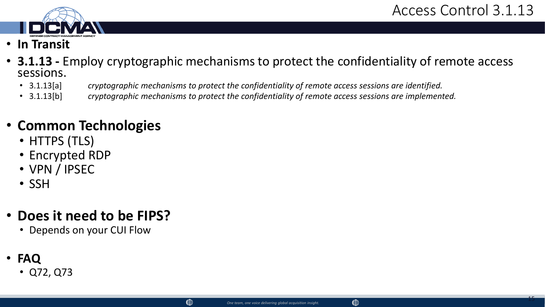

- **In Transit**
- **3.1.13 -** Employ cryptographic mechanisms to protect the confidentiality of remote access sessions.
	- 3.1.13[a] *cryptographic mechanisms to protect the confidentiality of remote access sessions are identified.*
	- 3.1.13[b] *cryptographic mechanisms to protect the confidentiality of remote access sessions are implemented.*

- HTTPS (TLS)
- Encrypted RDP
- VPN / IPSEC
- SSH

## • **Does it need to be FIPS?**

- Depends on your CUI Flow
- **FAQ**
	- Q72, Q73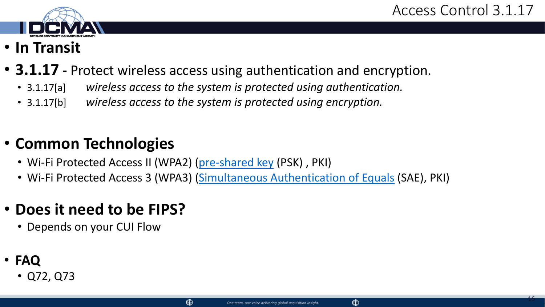

- **In Transit**
- **3.1.17 -** Protect wireless access using authentication and encryption.
	- 3.1.17[a] *wireless access to the system is protected using authentication.*
	- 3.1.17[b] *wireless access to the system is protected using encryption.*

• Wi-Fi Protected Access II (WPA2) [\(pre-shared key](https://en.wikipedia.org/wiki/Pre-shared_key) (PSK) , PKI)

 $\circledcirc$ 

• Wi-Fi Protected Access 3 (WPA3) [\(Simultaneous Authentication of Equals](https://en.wikipedia.org/wiki/Simultaneous_Authentication_of_Equals) (SAE), PKI)

## • **Does it need to be FIPS?**

- Depends on your CUI Flow
- **FAQ**
	- Q72, Q73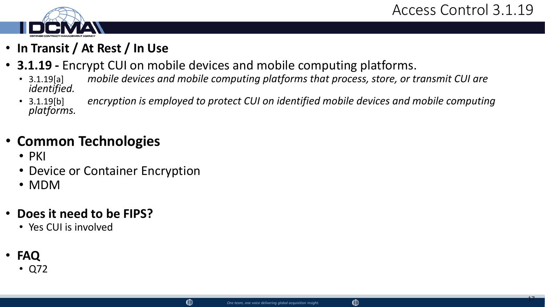

- **In Transit / At Rest / In Use**
- **3.1.19 -** Encrypt CUI on mobile devices and mobile computing platforms.
	- 3.1.19[a] *mobile devices and mobile computing platforms that process, store, or transmit CUI are identified.*
	- 3.1.19[b] *encryption is employed to protect CUI on identified mobile devices and mobile computing platforms.*

- PKI
- Device or Container Encryption
- MDM
- **Does it need to be FIPS?**
	- Yes CUI is involved
- **FAQ**
	- Q72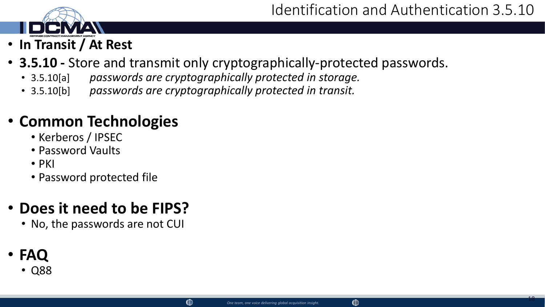

- **3.5.10 -** Store and transmit only cryptographically-protected passwords.
	- 3.5.10[a] *passwords are cryptographically protected in storage.*
	- 3.5.10[b] *passwords are cryptographically protected in transit.*

- Kerberos / IPSEC
- Password Vaults
- PKI
- Password protected file

## • **Does it need to be FIPS?**

- No, the passwords are not CUI
- **FAQ**
	- Q88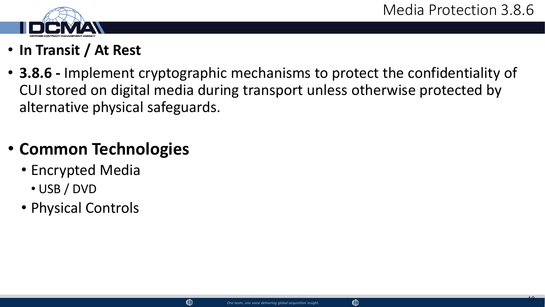

- **In Transit / At Rest**
- **3.8.6 -** Implement cryptographic mechanisms to protect the confidentiality of CUI stored on digital media during transport unless otherwise protected by alternative physical safeguards.

- Encrypted Media
	- USB / DVD
- Physical Controls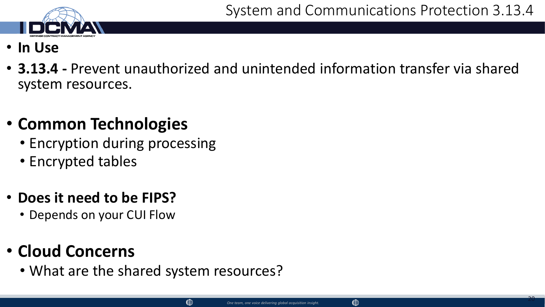

- **In Use**
- **3.13.4 -** Prevent unauthorized and unintended information transfer via shared system resources.

- Encryption during processing
- Encrypted tables

## • **Does it need to be FIPS?**

• Depends on your CUI Flow

## • **Cloud Concerns**

• What are the shared system resources?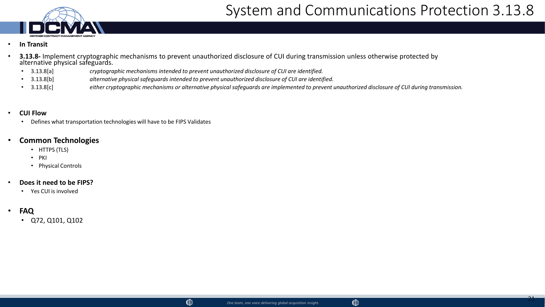

## System and Communications Protection 3.13.8

- **In Transit**
	- **3.13.8-** Implement cryptographic mechanisms to prevent unauthorized disclosure of CUI during transmission unless otherwise protected by alternative physical safeguards.
		- 3.13.8[a] *cryptographic mechanisms intended to prevent unauthorized disclosure of CUI are identified.*
		- 3.13.8[b] *alternative physical safeguards intended to prevent unauthorized disclosure of CUI are identified.*
		- 3.13.8[c] *either cryptographic mechanisms or alternative physical safeguards are implemented to prevent unauthorized disclosure of CUI during transmission.*

#### • **CUI Flow**

• Defines what transportation technologies will have to be FIPS Validates

#### • **Common Technologies**

- HTTPS (TLS)
- PKI
- Physical Controls
- **Does it need to be FIPS?**
	- Yes CUI is involved
- **FAQ**
	- Q72, Q101, Q102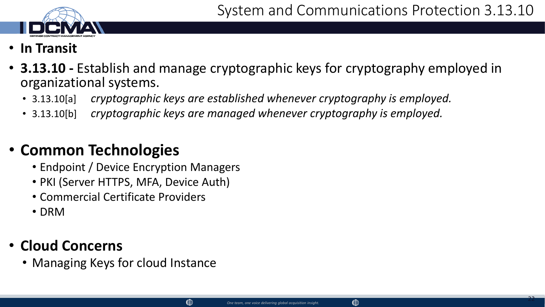

- **In Transit**
- **3.13.10 -** Establish and manage cryptographic keys for cryptography employed in organizational systems.
	- 3.13.10[a] *cryptographic keys are established whenever cryptography is employed.*
	- 3.13.10[b] *cryptographic keys are managed whenever cryptography is employed.*

- Endpoint / Device Encryption Managers
- PKI (Server HTTPS, MFA, Device Auth)
- Commercial Certificate Providers
- DRM

## • **Cloud Concerns**

• Managing Keys for cloud Instance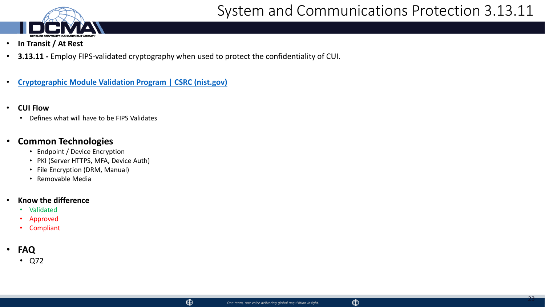

- **In Transit / At Rest**
- **3.13.11 -** Employ FIPS-validated cryptography when used to protect the confidentiality of CUI.
- **[Cryptographic Module Validation Program | CSRC \(nist.gov\)](https://csrc.nist.gov/Projects/cryptographic-module-validation-program/validated-modules/Search)**
- **CUI Flow**
	- Defines what will have to be FIPS Validates

- Endpoint / Device Encryption
- PKI (Server HTTPS, MFA, Device Auth)
- File Encryption (DRM, Manual)
- Removable Media

#### • **Know the difference**

- Validated
- Approved
- **Compliant**
- **FAQ**
	- Q72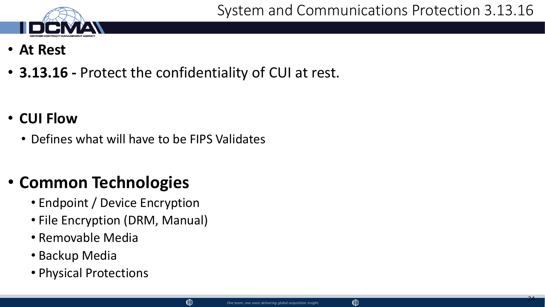- **At Rest**
- **3.13.16 -** Protect the confidentiality of CUI at rest.

 $\circledcirc$ 

- **CUI Flow**
	- Defines what will have to be FIPS Validates

## • **Common Technologies**

- Endpoint / Device Encryption
- File Encryption (DRM, Manual)
- Removable Media
- Backup Media
- Physical Protections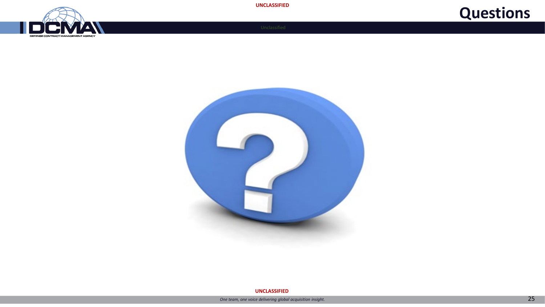







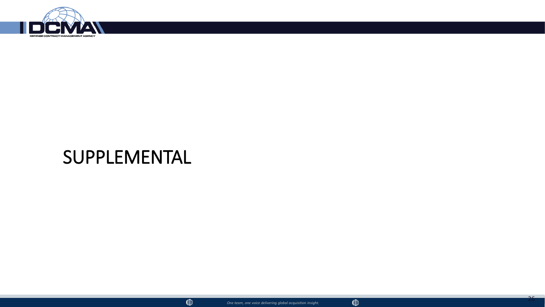

## SUPPLEMENTAL

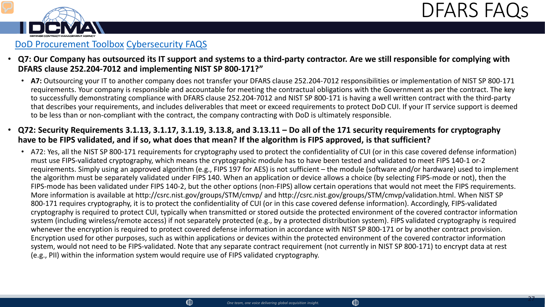



- **Q7: Our Company has outsourced its IT support and systems to a third-party contractor. Are we still responsible for complying with DFARS clause 252.204-7012 and implementing NIST SP 800-171?"**
	- **A7:** Outsourcing your IT to another company does not transfer your DFARS clause 252.204-7012 responsibilities or implementation of NIST SP 800-171 requirements. Your company is responsible and accountable for meeting the contractual obligations with the Government as per the contract. The key to successfully demonstrating compliance with DFARS clause 252.204-7012 and NIST SP 800-171 is having a well written contract with the third-party that describes your requirements, and includes deliverables that meet or exceed requirements to protect DoD CUI. If your IT service support is deemed to be less than or non-compliant with the contract, the company contracting with DoD is ultimately responsible.
- **Q72: Security Requirements 3.1.13, 3.1.17, 3.1.19, 3.13.8, and 3.13.11 – Do all of the 171 security requirements for cryptography have to be FIPS validated, and if so, what does that mean? If the algorithm is FIPS approved, is that sufficient?**
	- A72: Yes, all the NIST SP 800-171 requirements for cryptography used to protect the confidentiality of CUI (or in this case covered defense information) must use FIPS-validated cryptography, which means the cryptographic module has to have been tested and validated to meet FIPS 140-1 or-2 requirements. Simply using an approved algorithm (e.g., FIPS 197 for AES) is not sufficient – the module (software and/or hardware) used to implement the algorithm must be separately validated under FIPS 140. When an application or device allows a choice (by selecting FIPS-mode or not), then the FIPS-mode has been validated under FIPS 140-2, but the other options (non-FIPS) allow certain operations that would not meet the FIPS requirements. More information is available at http://csrc.nist.gov/groups/STM/cmvp/ and http://csrc.nist.gov/groups/STM/cmvp/validation.html. When NIST SP 800-171 requires cryptography, it is to protect the confidentiality of CUI (or in this case covered defense information). Accordingly, FIPS-validated cryptography is required to protect CUI, typically when transmitted or stored outside the protected environment of the covered contractor information system (including wireless/remote access) if not separately protected (e.g., by a protected distribution system). FIPS validated cryptography is required whenever the encryption is required to protect covered defense information in accordance with NIST SP 800-171 or by another contract provision. Encryption used for other purposes, such as within applications or devices within the protected environment of the covered contractor information system, would not need to be FIPS-validated. Note that any separate contract requirement (not currently in NIST SP 800-171) to encrypt data at rest (e.g., PII) within the information system would require use of FIPS validated cryptography.

 $\circledast$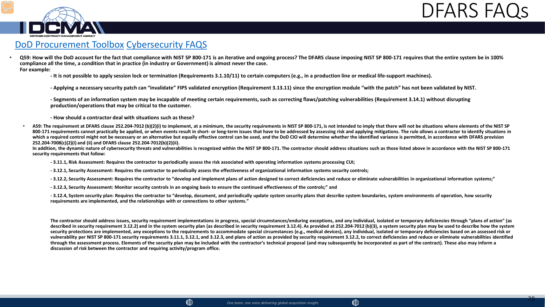



• **Q59: How will the DoD account for the fact that compliance with NIST SP 800-171 is an iterative and ongoing process? The DFARS clause imposing NIST SP 800-171 requires that the entire system be in 100% compliance all the time, a condition that in practice (in industry or Government) is almost never the case. For example:**

**- It is not possible to apply session lock or termination (Requirements 3.1.10/11) to certain computers (e.g., in a production line or medical life-support machines).**

**- Applying a necessary security patch can "invalidate" FIPS validated encryption (Requirement 3.13.11) since the encryption module "with the patch" has not been validated by NIST.**

**- Segments of an information system may be incapable of meeting certain requirements, such as correcting flaws/patching vulnerabilities (Requirement 3.14.1) without disrupting production/operations that may be critical to the customer.**

**- How should a contractor deal with situations such as these?**

A59: The requirement at DFARS clause 252.204-7012 (b)(2)(i) to implement, at a minimum, the security requirements in NIST SP 800-171, is not intended to imply that there will not be situations where elements of the NIST SP 800-171 requirements cannot practically be applied, or when events result in short- or long-term issues that have to be addressed by assessing risk and applying mitigations. The rule allows a contractor to identify situati which a required control might not be necessary or an alternative but equally effective control can be used, and the DoD CIO will determine whether the identified variance is permitted, in accordance with DFARS provision **252.204-7008(c)(2)(i) and (ii) and DFARS clause 252.204-7012(b)(2)(ii).**

In addition, the dynamic nature of cybersecurity threats and vulnerabilities is recognized within the NIST SP 800-171. The contractor should address situations such as those listed above in accordance with the NIST SP 800**security requirements that follow:**

**- 3.11.1, Risk Assessment: Requires the contractor to periodically assess the risk associated with operating information systems processing CUI;**

**- 3.12.1, Security Assessment: Requires the contractor to periodically assess the effectiveness of organizational information systems security controls;**

**- 3.12.2, Security Assessment: Requires the contractor to "develop and implement plans of action designed to correct deficiencies and reduce or eliminate vulnerabilities in organizational information systems;"**

**- 3.12.3, Security Assessment: Monitor security controls in an ongoing basis to ensure the continued effectiveness of the controls;" and**

**- 3.12.4, System security plan: Requires the contractor to "develop, document, and periodically update system security plans that describe system boundaries, system environments of operation, how security requirements are implemented, and the relationships with or connections to other systems."**

**The contractor should address issues, security requirement implementations in progress, special circumstances/enduring exceptions, and any individual, isolated or temporary deficiencies through "plans of action" (as**  described in security requirement 3.12.2) and in the system security plan (as described in security requirement 3.12.4). As provided at 252.204-7012 (b)(3), a system security plan may be used to describe how the system security protections are implemented, any exceptions to the requirements to accommodate special circumstances (e.g., medical devices), any individual, isolated or temporary deficiencies based on an assessed risk or vulnerability per NIST SP 800-171 security requirements 3.11.1, 3.12.1, and 3.12.3, and plans of action as provided by security requirement 3.12.2, to correct deficiencies and reduce or eliminate vulnerabilities identified **through the assessment process. Elements of the security plan may be included with the contractor's technical proposal (and may subsequently be incorporated as part of the contract). These also may inform a discussion of risk between the contractor and requiring activity/program office.**

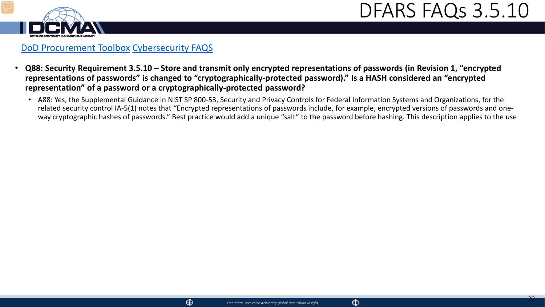



- **Q88: Security Requirement 3.5.10 – Store and transmit only encrypted representations of passwords (in Revision 1, "encrypted representations of passwords" is changed to "cryptographically-protected password)." Is a HASH considered an "encrypted representation" of a password or a cryptographically-protected password?**
	- A88: Yes, the Supplemental Guidance in NIST SP 800-53, Security and Privacy Controls for Federal Information Systems and Organizations, for the related security control IA-5(1) notes that "Encrypted representations of passwords include, for example, encrypted versions of passwords and oneway cryptographic hashes of passwords." Best practice would add a unique "salt" to the password before hashing. This description applies to the use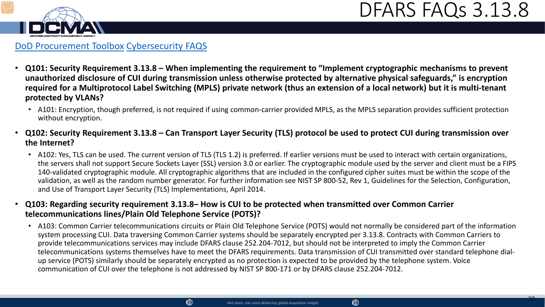## DFARS FAQs 3.13.8



#### [DoD Procurement Toolbox](https://dodprocurementtoolbox.com/faqs/cybersecurity) [Cybersecurity FAQS](https://dodprocurementtoolbox.com/cms/sites/default/files/resources/2021-11/Cyber%20DFARS%20FAQs%20rev%203%20%207.30.2020%20+%20correction%2011.23.2021.pdf)

- **Q101: Security Requirement 3.13.8 – When implementing the requirement to "Implement cryptographic mechanisms to prevent unauthorized disclosure of CUI during transmission unless otherwise protected by alternative physical safeguards," is encryption required for a Multiprotocol Label Switching (MPLS) private network (thus an extension of a local network) but it is multi-tenant protected by VLANs?**
	- A101: Encryption, though preferred, is not required if using common-carrier provided MPLS, as the MPLS separation provides sufficient protection without encryption.
- **Q102: Security Requirement 3.13.8 – Can Transport Layer Security (TLS) protocol be used to protect CUI during transmission over the Internet?**
	- A102: Yes, TLS can be used. The current version of TLS (TLS 1.2) is preferred. If earlier versions must be used to interact with certain organizations, the servers shall not support Secure Sockets Layer (SSL) version 3.0 or earlier. The cryptographic module used by the server and client must be a FIPS 140-validated cryptographic module. All cryptographic algorithms that are included in the configured cipher suites must be within the scope of the validation, as well as the random number generator. For further information see NIST SP 800-52, Rev 1, Guidelines for the Selection, Configuration, and Use of Transport Layer Security (TLS) Implementations, April 2014.
- **Q103: Regarding security requirement 3.13.8– How is CUI to be protected when transmitted over Common Carrier telecommunications lines/Plain Old Telephone Service (POTS)?**
	- A103: Common Carrier telecommunications circuits or Plain Old Telephone Service (POTS) would not normally be considered part of the information system processing CUI. Data traversing Common Carrier systems should be separately encrypted per 3.13.8. Contracts with Common Carriers to provide telecommunications services may include DFARS clause 252.204-7012, but should not be interpreted to imply the Common Carrier telecommunications systems themselves have to meet the DFARS requirements. Data transmission of CUI transmitted over standard telephone dialup service (POTS) similarly should be separately encrypted as no protection is expected to be provided by the telephone system. Voice communication of CUI over the telephone is not addressed by NIST SP 800-171 or by DFARS clause 252.204-7012.

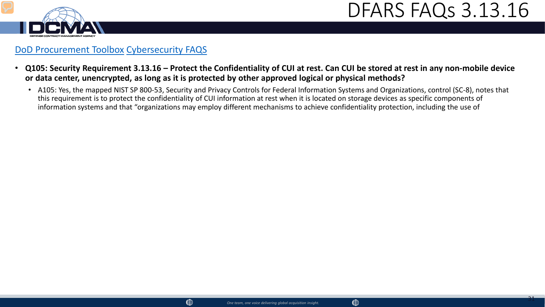



- **Q105: Security Requirement 3.13.16 – Protect the Confidentiality of CUI at rest. Can CUI be stored at rest in any non-mobile device or data center, unencrypted, as long as it is protected by other approved logical or physical methods?** 
	- A105: Yes, the mapped NIST SP 800-53, Security and Privacy Controls for Federal Information Systems and Organizations, control (SC-8), notes that this requirement is to protect the confidentiality of CUI information at rest when it is located on storage devices as specific components of information systems and that "organizations may employ different mechanisms to achieve confidentiality protection, including the use of